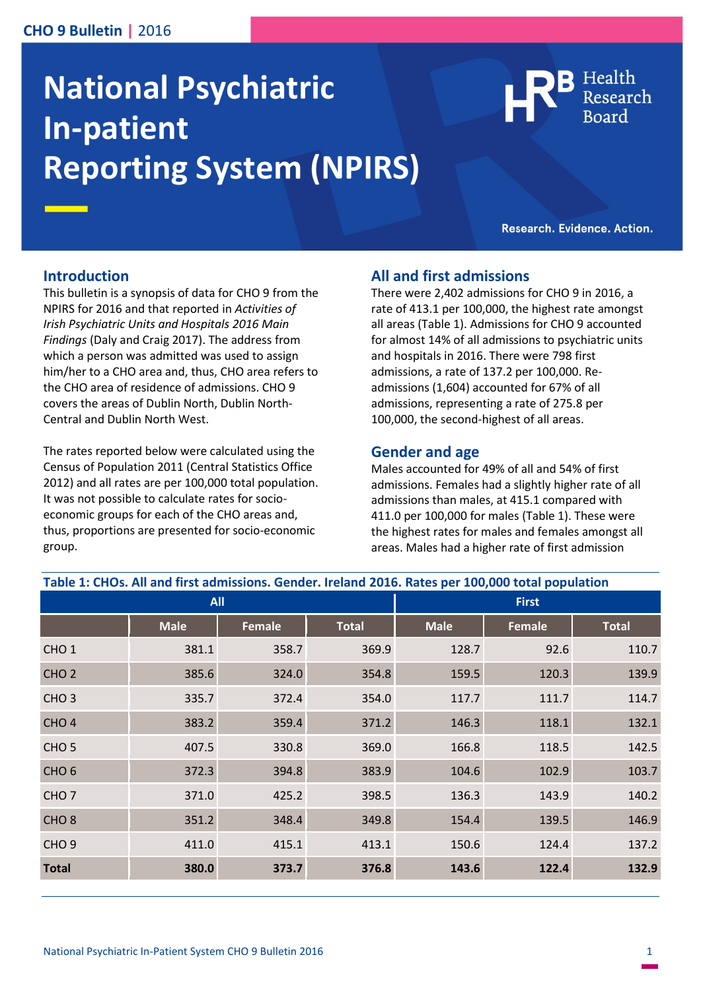# **CHO 9 Bulletin |** 2016

# **National Psychiatric In-patient Reporting System (NPIRS)**

Health

Research. Evidence. Action.

### **Introduction**

This bulletin is a synopsis of data for CHO 9 from the NPIRS for 2016 and that reported in *Activities of Irish Psychiatric Units and Hospitals 2016 Main Findings* (Daly and Craig 2017). The address from which a person was admitted was used to assign him/her to a CHO area and, thus, CHO area refers to the CHO area of residence of admissions. CHO 9 covers the areas of Dublin North, Dublin North-Central and Dublin North West.

The rates reported below were calculated using the Census of Population 2011 (Central Statistics Office 2012) and all rates are per 100,000 total population. It was not possible to calculate rates for socioeconomic groups for each of the CHO areas and, thus, proportions are presented for socio-economic group.

## **All and first admissions**

There were 2,402 admissions for CHO 9 in 2016, a rate of 413.1 per 100,000, the highest rate amongst all areas (Table 1). Admissions for CHO 9 accounted for almost 14% of all admissions to psychiatric units and hospitals in 2016. There were 798 first admissions, a rate of 137.2 per 100,000. Readmissions (1,604) accounted for 67% of all admissions, representing a rate of 275.8 per 100,000, the second-highest of all areas.

#### **Gender and age**

Males accounted for 49% of all and 54% of first admissions. Females had a slightly higher rate of all admissions than males, at 415.1 compared with 411.0 per 100,000 for males (Table 1). These were the highest rates for males and females amongst all areas. Males had a higher rate of first admission

| Table 1: CHOs. All and first admissions. Gender. Ireland 2016. Rates per 100,000 total population |             |        |              |              |        |              |
|---------------------------------------------------------------------------------------------------|-------------|--------|--------------|--------------|--------|--------------|
| <b>All</b>                                                                                        |             |        |              | <b>First</b> |        |              |
|                                                                                                   | <b>Male</b> | Female | <b>Total</b> | <b>Male</b>  | Female | <b>Total</b> |
| CHO <sub>1</sub>                                                                                  | 381.1       | 358.7  | 369.9        | 128.7        | 92.6   | 110.7        |
| CHO <sub>2</sub>                                                                                  | 385.6       | 324.0  | 354.8        | 159.5        | 120.3  | 139.9        |
| CHO <sub>3</sub>                                                                                  | 335.7       | 372.4  | 354.0        | 117.7        | 111.7  | 114.7        |
| CHO <sub>4</sub>                                                                                  | 383.2       | 359.4  | 371.2        | 146.3        | 118.1  | 132.1        |
| CHO <sub>5</sub>                                                                                  | 407.5       | 330.8  | 369.0        | 166.8        | 118.5  | 142.5        |
| CHO <sub>6</sub>                                                                                  | 372.3       | 394.8  | 383.9        | 104.6        | 102.9  | 103.7        |
| CHO <sub>7</sub>                                                                                  | 371.0       | 425.2  | 398.5        | 136.3        | 143.9  | 140.2        |
| CHO <sub>8</sub>                                                                                  | 351.2       | 348.4  | 349.8        | 154.4        | 139.5  | 146.9        |
| CHO <sub>9</sub>                                                                                  | 411.0       | 415.1  | 413.1        | 150.6        | 124.4  | 137.2        |
| <b>Total</b>                                                                                      | 380.0       | 373.7  | 376.8        | 143.6        | 122.4  | 132.9        |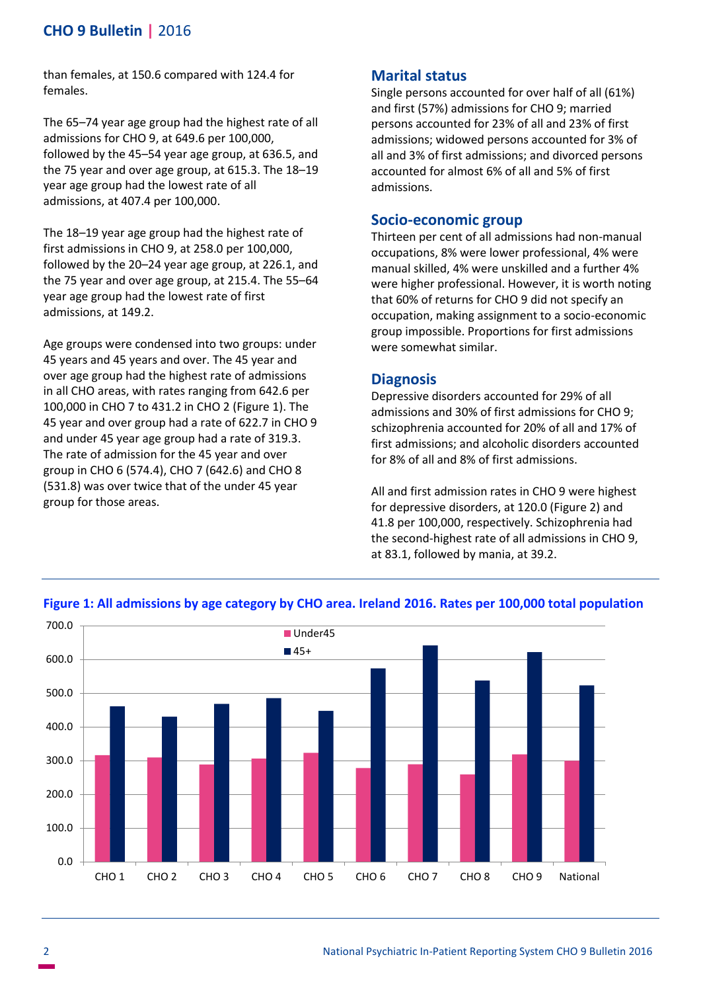# **CHO 9 Bulletin |** 2016

than females, at 150.6 compared with 124.4 for females.

The 65–74 year age group had the highest rate of all admissions for CHO 9, at 649.6 per 100,000, followed by the 45–54 year age group, at 636.5, and the 75 year and over age group, at 615.3. The 18–19 year age group had the lowest rate of all admissions, at 407.4 per 100,000.

The 18–19 year age group had the highest rate of first admissions in CHO 9, at 258.0 per 100,000, followed by the 20–24 year age group, at 226.1, and the 75 year and over age group, at 215.4. The 55–64 year age group had the lowest rate of first admissions, at 149.2.

Age groups were condensed into two groups: under 45 years and 45 years and over. The 45 year and over age group had the highest rate of admissions in all CHO areas, with rates ranging from 642.6 per 100,000 in CHO 7 to 431.2 in CHO 2 (Figure 1). The 45 year and over group had a rate of 622.7 in CHO 9 and under 45 year age group had a rate of 319.3. The rate of admission for the 45 year and over group in CHO 6 (574.4), CHO 7 (642.6) and CHO 8 (531.8) was over twice that of the under 45 year group for those areas.

# **Marital status**

Single persons accounted for over half of all (61%) and first (57%) admissions for CHO 9; married persons accounted for 23% of all and 23% of first admissions; widowed persons accounted for 3% of all and 3% of first admissions; and divorced persons accounted for almost 6% of all and 5% of first admissions.

# **Socio-economic group**

Thirteen per cent of all admissions had non-manual occupations, 8% were lower professional, 4% were manual skilled, 4% were unskilled and a further 4% were higher professional. However, it is worth noting that 60% of returns for CHO 9 did not specify an occupation, making assignment to a socio-economic group impossible. Proportions for first admissions were somewhat similar.

# **Diagnosis**

Depressive disorders accounted for 29% of all admissions and 30% of first admissions for CHO 9; schizophrenia accounted for 20% of all and 17% of first admissions; and alcoholic disorders accounted for 8% of all and 8% of first admissions.

All and first admission rates in CHO 9 were highest for depressive disorders, at 120.0 (Figure 2) and 41.8 per 100,000, respectively. Schizophrenia had the second-highest rate of all admissions in CHO 9, at 83.1, followed by mania, at 39.2.



### **Figure 1: All admissions by age category by CHO area. Ireland 2016. Rates per 100,000 total population**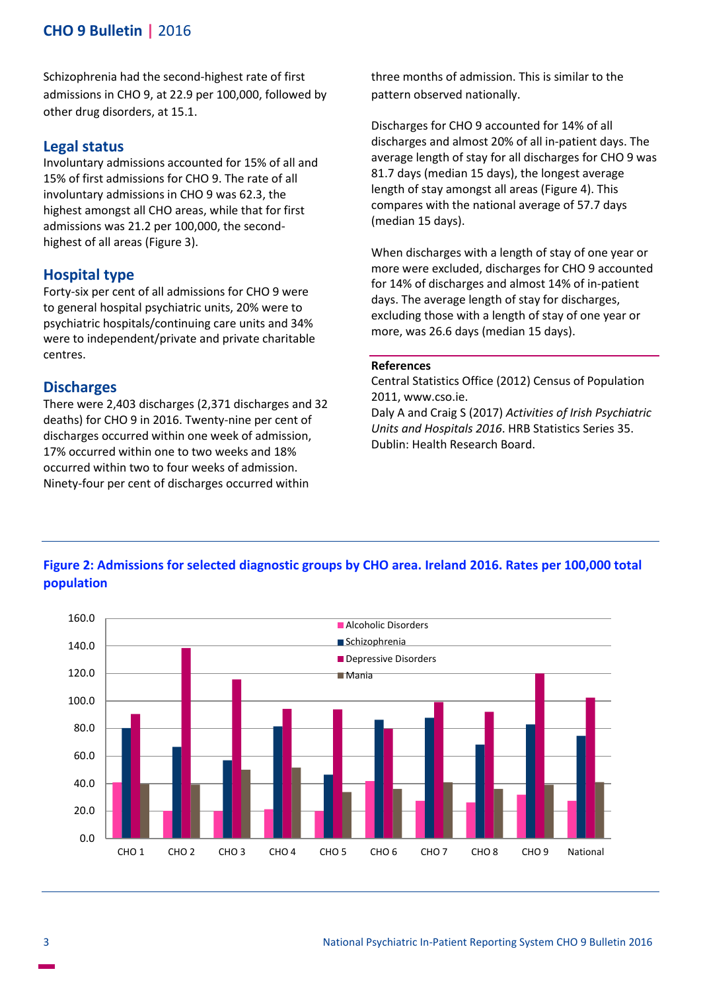# **CHO 9 Bulletin |** 2016

Schizophrenia had the second-highest rate of first admissions in CHO 9, at 22.9 per 100,000, followed by other drug disorders, at 15.1.

### **Legal status**

Involuntary admissions accounted for 15% of all and 15% of first admissions for CHO 9. The rate of all involuntary admissions in CHO 9 was 62.3, the highest amongst all CHO areas, while that for first admissions was 21.2 per 100,000, the secondhighest of all areas (Figure 3).

### **Hospital type**

Forty-six per cent of all admissions for CHO 9 were to general hospital psychiatric units, 20% were to psychiatric hospitals/continuing care units and 34% were to independent/private and private charitable centres.

### **Discharges**

There were 2,403 discharges (2,371 discharges and 32 deaths) for CHO 9 in 2016. Twenty-nine per cent of discharges occurred within one week of admission, 17% occurred within one to two weeks and 18% occurred within two to four weeks of admission. Ninety-four per cent of discharges occurred within

three months of admission. This is similar to the pattern observed nationally.

Discharges for CHO 9 accounted for 14% of all discharges and almost 20% of all in-patient days. The average length of stay for all discharges for CHO 9 was 81.7 days (median 15 days), the longest average length of stay amongst all areas (Figure 4). This compares with the national average of 57.7 days (median 15 days).

When discharges with a length of stay of one year or more were excluded, discharges for CHO 9 accounted for 14% of discharges and almost 14% of in-patient days. The average length of stay for discharges, excluding those with a length of stay of one year or more, was 26.6 days (median 15 days).

#### **References**

Central Statistics Office (2012) Census of Population 2011, www.cso.ie.

Daly A and Craig S (2017) *Activities of Irish Psychiatric Units and Hospitals 2016*. HRB Statistics Series 35. Dublin: Health Research Board.

# **Figure 2: Admissions for selected diagnostic groups by CHO area. Ireland 2016. Rates per 100,000 total population**